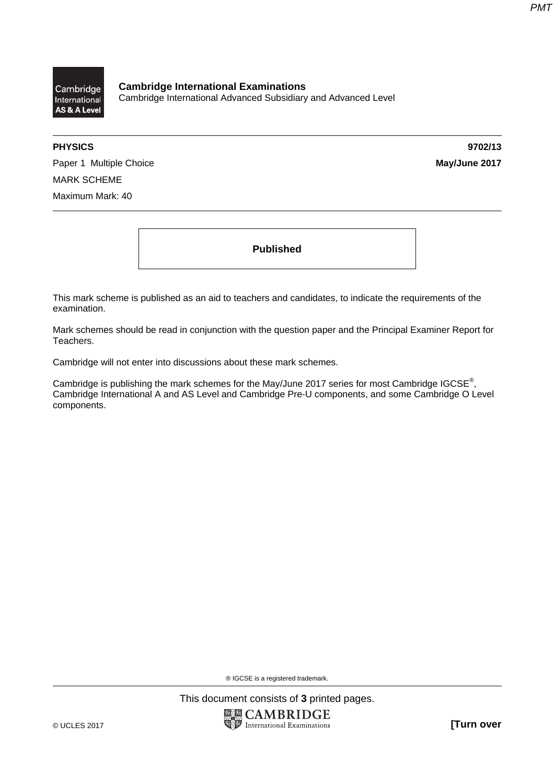

**Cambridge International Examinations**  Cambridge International Advanced Subsidiary and Advanced Level

**PHYSICS 9702/13** 

Paper 1 Multiple Choice **May/June 2017** MARK SCHEME Maximum Mark: 40

**Published** 

This mark scheme is published as an aid to teachers and candidates, to indicate the requirements of the examination.

Mark schemes should be read in conjunction with the question paper and the Principal Examiner Report for Teachers.

Cambridge will not enter into discussions about these mark schemes.

Cambridge is publishing the mark schemes for the May/June 2017 series for most Cambridge IGCSE<sup>®</sup>, Cambridge International A and AS Level and Cambridge Pre-U components, and some Cambridge O Level components.

® IGCSE is a registered trademark.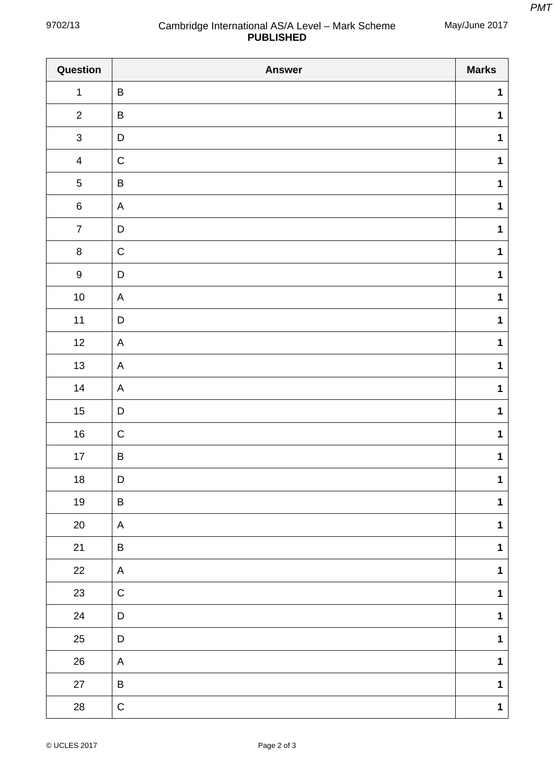May/June 2017

## 9702/13 Cambridge International AS/A Level – Mark Scheme **PUBLISHED**

| Question         | <b>Answer</b> | <b>Marks</b> |
|------------------|---------------|--------------|
| $\mathbf{1}$     | $\sf B$       | $\mathbf{1}$ |
| $\overline{2}$   | $\sf B$       | $\mathbf 1$  |
| $\mathfrak{S}$   | $\mathsf D$   | $\mathbf 1$  |
| $\overline{4}$   | $\mathsf C$   | $\mathbf{1}$ |
| $\sqrt{5}$       | $\sf B$       | $\mathbf 1$  |
| $\,6\,$          | $\mathsf{A}$  | $\mathbf 1$  |
| $\boldsymbol{7}$ | $\mathsf D$   | $\mathbf{1}$ |
| $\bf 8$          | $\mathsf C$   | $\mathbf 1$  |
| $\boldsymbol{9}$ | $\mathsf D$   | $\mathbf{1}$ |
| $10\,$           | A             | $\mathbf{1}$ |
| $11$             | $\mathsf D$   | $\mathbf 1$  |
| $12$             | $\mathsf A$   | $\mathbf{1}$ |
| $13$             | A             | $\mathbf 1$  |
| 14               | A             | $\mathbf{1}$ |
| $15\,$           | $\mathsf D$   | $\mathbf{1}$ |
| $16\,$           | ${\bf C}$     | $\mathbf{1}$ |
| $17$             | $\sf B$       | $\mathbf 1$  |
| $18\,$           | $\mathsf D$   | $\mathbf 1$  |
| $19$             | $\sf B$       | $\mathbf 1$  |
| $20\,$           | A             | $\mathbf{1}$ |
| 21               | $\sf B$       | $\mathbf 1$  |
| 22               | A             | $\mathbf 1$  |
| 23               | $\mathsf C$   | $\mathbf 1$  |
| 24               | $\mathsf D$   | $\mathbf 1$  |
| $25\,$           | $\mathsf D$   | $\mathbf 1$  |
| ${\bf 26}$       | A             | $\mathbf 1$  |
| $27\,$           | $\sf B$       | $\mathbf 1$  |
| ${\bf 28}$       | $\mathsf C$   | $\mathbf{1}$ |